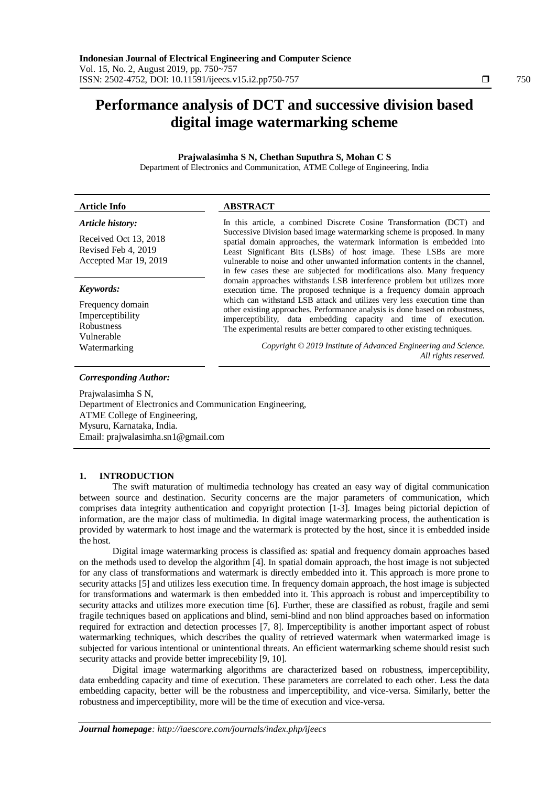# **Performance analysis of DCT and successive division based digital image watermarking scheme**

**Prajwalasimha S N, Chethan Suputhra S, Mohan C S** Department of Electronics and Communication, ATME College of Engineering, India

**Article Info ABSTRACT**  *Article history:* Received Oct 13, 2018 Revised Feb 4, 2019 Accepted Mar 19, 2019 In this article, a combined Discrete Cosine Transformation (DCT) and Successive Division based image watermarking scheme is proposed. In many spatial domain approaches, the watermark information is embedded into Least Significant Bits (LSBs) of host image. These LSBs are more vulnerable to noise and other unwanted information contents in the channel, in few cases these are subjected for modifications also. Many frequency domain approaches withstands LSB interference problem but utilizes more execution time. The proposed technique is a frequency domain approach which can withstand LSB attack and utilizes very less execution time than other existing approaches. Performance analysis is done based on robustness, imperceptibility, data embedding capacity and time of execution. The experimental results are better compared to other existing techniques. *Keywords:* Frequency domain Imperceptibility Robustness Vulnerable Watermarking *Copyright © 2019 Institute of Advanced Engineering and Science. All rights reserved. Corresponding Author:* Prajwalasimha S N,

Department of Electronics and Communication Engineering, ATME College of Engineering, Mysuru, Karnataka, India. Email: prajwalasimha.sn1@gmail.com

# **1. INTRODUCTION**

The swift maturation of multimedia technology has created an easy way of digital communication between source and destination. Security concerns are the major parameters of communication, which comprises data integrity authentication and copyright protection [1-3]. Images being pictorial depiction of information, are the major class of multimedia. In digital image watermarking process, the authentication is provided by watermark to host image and the watermark is protected by the host, since it is embedded inside the host.

Digital image watermarking process is classified as: spatial and frequency domain approaches based on the methods used to develop the algorithm [4]. In spatial domain approach, the host image is not subjected for any class of transformations and watermark is directly embedded into it. This approach is more prone to security attacks [5] and utilizes less execution time. In frequency domain approach, the host image is subjected for transformations and watermark is then embedded into it. This approach is robust and imperceptibility to security attacks and utilizes more execution time [6]. Further, these are classified as robust, fragile and semi fragile techniques based on applications and blind, semi-blind and non blind approaches based on information required for extraction and detection processes [7, 8]. Imperceptibility is another important aspect of robust watermarking techniques, which describes the quality of retrieved watermark when watermarked image is subjected for various intentional or unintentional threats. An efficient watermarking scheme should resist such security attacks and provide better imprecebility [9, 10].

Digital image watermarking algorithms are characterized based on robustness, imperceptibility, data embedding capacity and time of execution. These parameters are correlated to each other. Less the data embedding capacity, better will be the robustness and imperceptibility, and vice-versa. Similarly, better the robustness and imperceptibility, more will be the time of execution and vice-versa.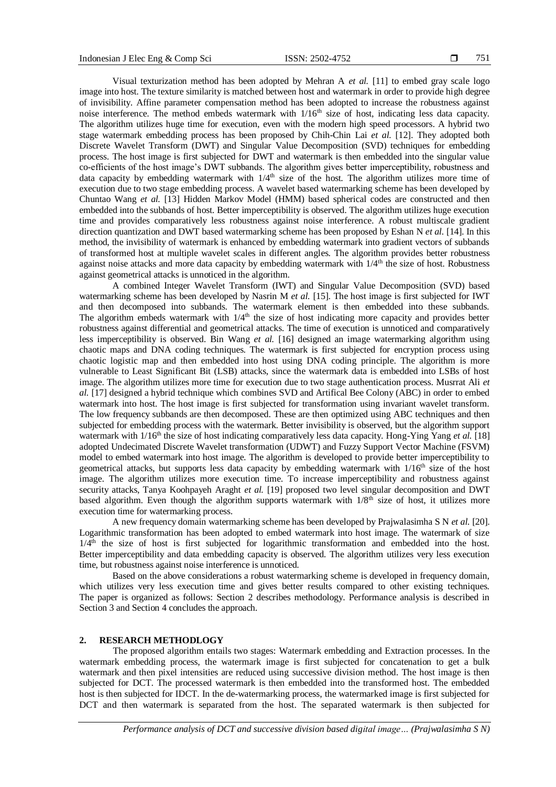Visual texturization method has been adopted by Mehran A *et al.* [11] to embed gray scale logo image into host. The texture similarity is matched between host and watermark in order to provide high degree of invisibility. Affine parameter compensation method has been adopted to increase the robustness against noise interference. The method embeds watermark with  $1/16<sup>th</sup>$  size of host, indicating less data capacity. The algorithm utilizes huge time for execution, even with the modern high speed processors. A hybrid two stage watermark embedding process has been proposed by Chih-Chin Lai *et al.* [12]. They adopted both Discrete Wavelet Transform (DWT) and Singular Value Decomposition (SVD) techniques for embedding process. The host image is first subjected for DWT and watermark is then embedded into the singular value co-efficients of the host image's DWT subbands. The algorithm gives better imperceptibility, robustness and data capacity by embedding watermark with  $1/4<sup>th</sup>$  size of the host. The algorithm utilizes more time of execution due to two stage embedding process. A wavelet based watermarking scheme has been developed by Chuntao Wang *et al.* [13] Hidden Markov Model (HMM) based spherical codes are constructed and then embedded into the subbands of host. Better imperceptibility is observed. The algorithm utilizes huge execution time and provides comparatively less robustness against noise interference. A robust multiscale gradient direction quantization and DWT based watermarking scheme has been proposed by Eshan N *et al.* [14]. In this method, the invisibility of watermark is enhanced by embedding watermark into gradient vectors of subbands of transformed host at multiple wavelet scales in different angles. The algorithm provides better robustness against noise attacks and more data capacity by embedding watermark with 1/4th the size of host. Robustness against geometrical attacks is unnoticed in the algorithm.

A combined Integer Wavelet Transform (IWT) and Singular Value Decomposition (SVD) based watermarking scheme has been developed by Nasrin M *et al.* [15]. The host image is first subjected for IWT and then decomposed into subbands. The watermark element is then embedded into these subbands. The algorithm embeds watermark with  $1/4<sup>th</sup>$  the size of host indicating more capacity and provides better robustness against differential and geometrical attacks. The time of execution is unnoticed and comparatively less imperceptibility is observed. Bin Wang *et al.* [16] designed an image watermarking algorithm using chaotic maps and DNA coding techniques. The watermark is first subjected for encryption process using chaotic logistic map and then embedded into host using DNA coding principle. The algorithm is more vulnerable to Least Significant Bit (LSB) attacks, since the watermark data is embedded into LSBs of host image. The algorithm utilizes more time for execution due to two stage authentication process. Musrrat Ali *et al.* [17] designed a hybrid technique which combines SVD and Artifical Bee Colony (ABC) in order to embed watermark into host. The host image is first subjected for transformation using invariant wavelet transform. The low frequency subbands are then decomposed. These are then optimized using ABC techniques and then subjected for embedding process with the watermark. Better invisibility is observed, but the algorithm support watermark with 1/16<sup>th</sup> the size of host indicating comparatively less data capacity. Hong-Ying Yang *et al.* [18] adopted Undecimated Discrete Wavelet transformation (UDWT) and Fuzzy Support Vector Machine (FSVM) model to embed watermark into host image. The algorithm is developed to provide better imperceptibility to geometrical attacks, but supports less data capacity by embedding watermark with 1/16<sup>th</sup> size of the host image. The algorithm utilizes more execution time. To increase imperceptibility and robustness against security attacks, Tanya Koohpayeh Araght *et al.* [19] proposed two level singular decomposition and DWT based algorithm. Even though the algorithm supports watermark with  $1/8<sup>th</sup>$  size of host, it utilizes more execution time for watermarking process.

A new frequency domain watermarking scheme has been developed by Prajwalasimha S N *et al.* [20]. Logarithmic transformation has been adopted to embed watermark into host image. The watermark of size  $1/4<sup>th</sup>$  the size of host is first subjected for logarithmic transformation and embedded into the host. Better imperceptibility and data embedding capacity is observed. The algorithm utilizes very less execution time, but robustness against noise interference is unnoticed.

Based on the above considerations a robust watermarking scheme is developed in frequency domain, which utilizes very less execution time and gives better results compared to other existing techniques. The paper is organized as follows: Section 2 describes methodology. Performance analysis is described in Section 3 and Section 4 concludes the approach.

# **2. RESEARCH METHODLOGY**

The proposed algorithm entails two stages: Watermark embedding and Extraction processes. In the watermark embedding process, the watermark image is first subjected for concatenation to get a bulk watermark and then pixel intensities are reduced using successive division method. The host image is then subjected for DCT. The processed watermark is then embedded into the transformed host. The embedded host is then subjected for IDCT. In the de-watermarking process, the watermarked image is first subjected for DCT and then watermark is separated from the host. The separated watermark is then subjected for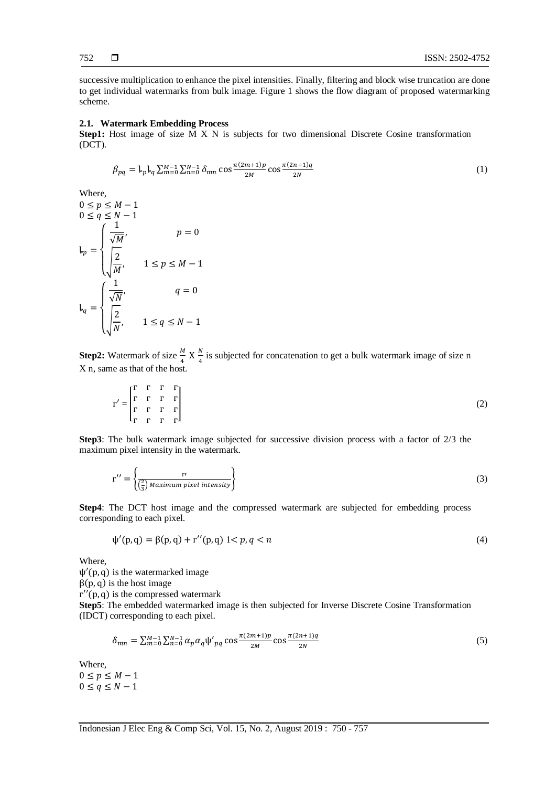successive multiplication to enhance the pixel intensities. Finally, filtering and block wise truncation are done to get individual watermarks from bulk image. Figure 1 shows the flow diagram of proposed watermarking scheme.

#### **2.1. Watermark Embedding Process**

**Step1:** Host image of size M X N is subjects for two dimensional Discrete Cosine transformation (DCT).

$$
\beta_{pq} = \mathbf{I}_{p} \mathbf{I}_{q} \sum_{m=0}^{M-1} \sum_{n=0}^{N-1} \delta_{mn} \cos \frac{\pi (2m+1)p}{2M} \cos \frac{\pi (2n+1)q}{2N} \tag{1}
$$

Where,  $0 \leq p \leq M-1$  $0 \le q \le N-1$  $\downarrow_p =$  $\overline{\mathcal{L}}$  $\mathbf{I}$  $\mathbf{I}$  $\mathbf{I}$  $\left(\frac{1}{\sqrt{2}}\right)$  $\sqrt{M}$ ,  $p = 0$  $\frac{2}{2}$  $\frac{1}{M}$ ,  $1 \le p \le M-1$  $\mathsf{L}_q =$ <sup>{</sup>  $\mathbf{I}$  $\mathbf{I}$  $\mathbf{I}$  $\frac{1}{5}$  $\frac{1}{\sqrt{N}}$ ,  $q = 0$  $\frac{2}{2}$  $\frac{1}{N}$ ,  $1 \leq q \leq N-1$ 

**Step2:** Watermark of size  $\frac{M}{4}$  X  $\frac{N}{4}$  $\frac{N}{4}$  is subjected for concatenation to get a bulk watermark image of size n X n, same as that of the host.

$$
\Gamma' = \begin{bmatrix} \Gamma & \Gamma & \Gamma & \Gamma \\ \Gamma & \Gamma & \Gamma & \Gamma \\ \Gamma & \Gamma & \Gamma & \Gamma \\ \Gamma & \Gamma & \Gamma & \Gamma \end{bmatrix} \tag{2}
$$

**Step3**: The bulk watermark image subjected for successive division process with a factor of 2/3 the maximum pixel intensity in the watermark.

$$
\Gamma'' = \left\{ \frac{\Gamma'}{\left(\frac{2}{3}\right) Maximum pixel intensity} \right\}
$$
 (3)

**Step4**: The DCT host image and the compressed watermark are subjected for embedding process corresponding to each pixel.

$$
\psi'(p,q) = \beta(p,q) + r''(p,q) \le p, q < n \tag{4}
$$

Where,

 $\psi'(p, q)$  is the watermarked image

 $\beta(p, q)$  is the host image

 $\Gamma''(p,q)$  is the compressed watermark

**Step5**: The embedded watermarked image is then subjected for Inverse Discrete Cosine Transformation (IDCT) corresponding to each pixel.

$$
\delta_{mn} = \sum_{m=0}^{M-1} \sum_{n=0}^{N-1} \alpha_p \alpha_q \psi'_{pq} \cos \frac{\pi (2m+1)p}{2M} \cos \frac{\pi (2n+1)q}{2N} \tag{5}
$$

Where,

 $0 \leq p \leq M-1$  $0 \leq q \leq N-1$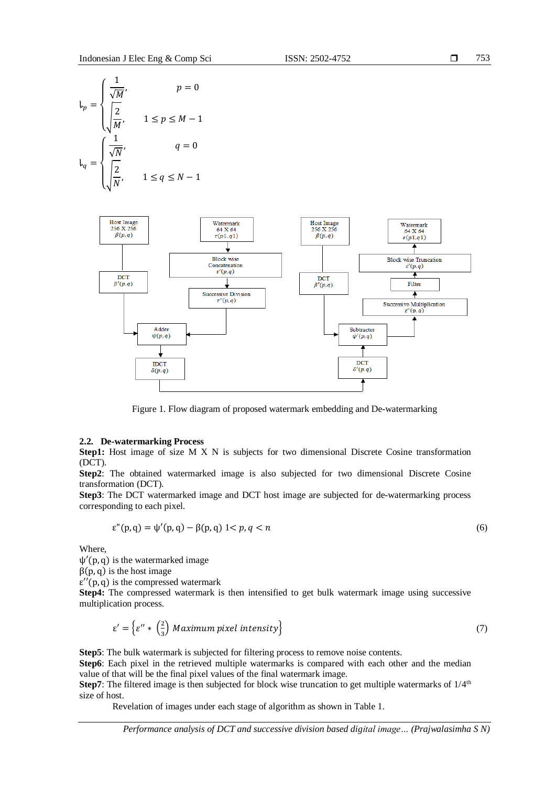$$
l_p = \begin{cases} \frac{1}{\sqrt{M}}, & p = 0\\ \frac{2}{\sqrt{M}}, & 1 \le p \le M - 1 \end{cases}
$$
  

$$
l_q = \begin{cases} \frac{1}{\sqrt{N}}, & q = 0\\ \frac{2}{\sqrt{N}}, & 1 \le q \le N - 1 \end{cases}
$$



Figure 1. Flow diagram of proposed watermark embedding and De-watermarking

#### **2.2. De-watermarking Process**

**Step1:** Host image of size M X N is subjects for two dimensional Discrete Cosine transformation (DCT).

**Step2**: The obtained watermarked image is also subjected for two dimensional Discrete Cosine transformation (DCT).

**Step3**: The DCT watermarked image and DCT host image are subjected for de-watermarking process corresponding to each pixel.

$$
\varepsilon''(p,q) = \psi'(p,q) - \beta(p,q) \quad 1 < p, q < n \tag{6}
$$

Where,

 $\psi'(p, q)$  is the watermarked image

 $\beta(p,q)$  is the host image

 $\varepsilon''(p,q)$  is the compressed watermark

**Step4:** The compressed watermark is then intensified to get bulk watermark image using successive multiplication process.

$$
\varepsilon' = \left\{ \varepsilon'' \ast \left( \frac{2}{3} \right) \text{ Maximum pixel intensity} \right\} \tag{7}
$$

**Step5**: The bulk watermark is subjected for filtering process to remove noise contents.

**Step6**: Each pixel in the retrieved multiple watermarks is compared with each other and the median value of that will be the final pixel values of the final watermark image.

**Step7**: The filtered image is then subjected for block wise truncation to get multiple watermarks of  $1/4^{\text{th}}$ size of host.

Revelation of images under each stage of algorithm as shown in Table 1.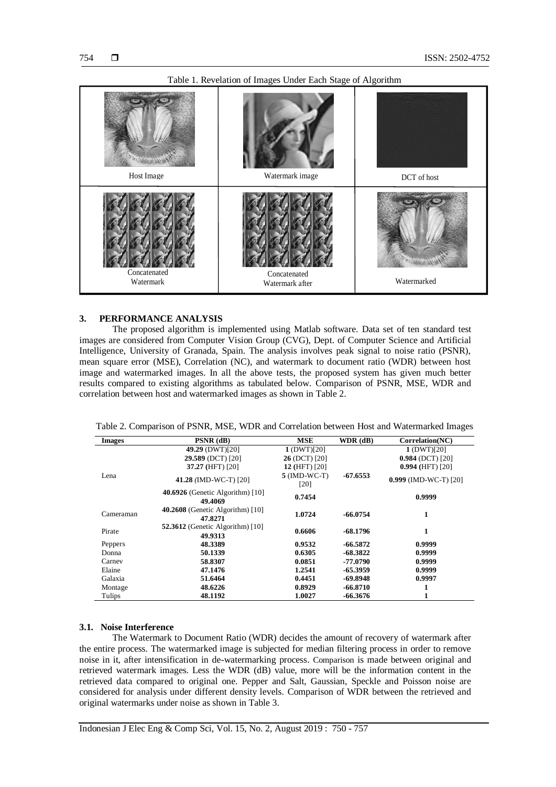

#### Table 1. Revelation of Images Under Each Stage of Algorithm

#### **3. PERFORMANCE ANALYSIS**

The proposed algorithm is implemented using Matlab software. Data set of ten standard test images are considered from Computer Vision Group (CVG), Dept. of Computer Science and Artificial Intelligence, University of Granada, Spain. The analysis involves peak signal to noise ratio (PSNR), mean square error (MSE), Correlation (NC), and watermark to document ratio (WDR) between host image and watermarked images. In all the above tests, the proposed system has given much better results compared to existing algorithms as tabulated below. Comparison of PSNR, MSE, WDR and correlation between host and watermarked images as shown in Table 2.

Table 2. Comparison of PSNR, MSE, WDR and Correlation between Host and Watermarked Images

| <b>Images</b> | $PSNR$ (dB)                                   | <b>MSE</b>             | $WDR$ (dB) | Correlation(NC)       |
|---------------|-----------------------------------------------|------------------------|------------|-----------------------|
|               | 49.29 (DWT)[20]                               | 1(DWT)[20]             |            | 1(DWT)[20]            |
|               | 29.589 (DCT) [20]                             | 26 (DCT) [20]          |            | $0.984$ (DCT) [20]    |
|               | 37.27 (HFT) [20]                              | 12 (HFT) [20]          |            | $0.994$ (HFT) [20]    |
| Lena          | 41.28 (IMD-WC-T) [20]                         | $5$ (IMD-WC-T)<br>[20] | $-67.6553$ | 0.999 (IMD-WC-T) [20] |
|               | 40.6926 (Genetic Algorithm) $[10]$<br>49.4069 | 0.7454                 |            | 0.9999                |
| Cameraman     | $40.2608$ (Genetic Algorithm) [10]<br>47.8271 | 1.0724                 | $-66.0754$ | 1                     |
| Pirate        | 52.3612 (Genetic Algorithm) $[10]$<br>49.9313 | 0.6606                 | $-68.1796$ | 1                     |
| Peppers       | 48.3389                                       | 0.9532                 | $-66.5872$ | 0.9999                |
| Donna         | 50.1339                                       | 0.6305                 | $-68.3822$ | 0.9999                |
| Carney        | 58.8307                                       | 0.0851                 | -77.0790   | 0.9999                |
| Elaine        | 47.1476                                       | 1.2541                 | -65.3959   | 0.9999                |
| Galaxia       | 51.6464                                       | 0.4451                 | $-69.8948$ | 0.9997                |
| Montage       | 48.6226                                       | 0.8929                 | $-66.8710$ |                       |
| Tulips        | 48.1192                                       | 1.0027                 | -66.3676   | ı                     |

#### **3.1. Noise Interference**

The Watermark to Document Ratio (WDR) decides the amount of recovery of watermark after the entire process. The watermarked image is subjected for median filtering process in order to remove noise in it, after intensification in de-watermarking process. Comparison is made between original and retrieved watermark images. Less the WDR (dB) value, more will be the information content in the retrieved data compared to original one. Pepper and Salt, Gaussian, Speckle and Poisson noise are considered for analysis under different density levels. Comparison of WDR between the retrieved and original watermarks under noise as shown in Table 3.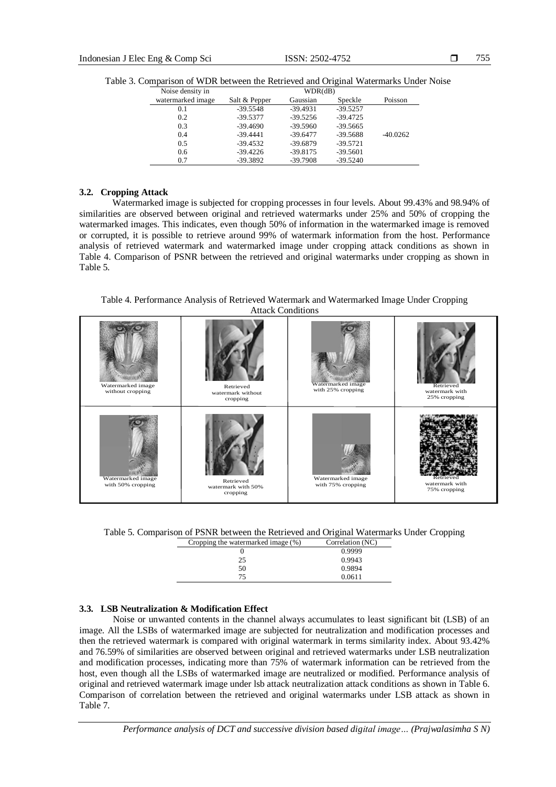| watermarked image<br>Salt & Pepper<br>Gaussian<br>Speckle<br>Poisson<br>$-39.5548$<br>$-39.4931$<br>$-39.5257$<br>0.1<br>$-39.4725$<br>0.2<br>$-39.5377$<br>$-39.5256$<br>$-39.4690$<br>0.3<br>$-39.5960$<br>$-39.5665$<br>0.4<br>$-39.4441$<br>$-40.0262$<br>$-39.5688$<br>$-39.6477$<br>0.5<br>$-39.4532$<br>$-39.6879$<br>$-39.5721$ | Noise density in |  | WDR(dB) |  |
|-----------------------------------------------------------------------------------------------------------------------------------------------------------------------------------------------------------------------------------------------------------------------------------------------------------------------------------------|------------------|--|---------|--|
|                                                                                                                                                                                                                                                                                                                                         |                  |  |         |  |
|                                                                                                                                                                                                                                                                                                                                         |                  |  |         |  |
|                                                                                                                                                                                                                                                                                                                                         |                  |  |         |  |
|                                                                                                                                                                                                                                                                                                                                         |                  |  |         |  |
|                                                                                                                                                                                                                                                                                                                                         |                  |  |         |  |
|                                                                                                                                                                                                                                                                                                                                         |                  |  |         |  |
| $-39.4226$<br>$-39.8175$<br>$-39.5601$<br>0.6                                                                                                                                                                                                                                                                                           |                  |  |         |  |
| $-39.3892$<br>0.7<br>$-39.7908$<br>$-39.5240$                                                                                                                                                                                                                                                                                           |                  |  |         |  |

Table 3. Comparison of WDR between the Retrieved and Original Watermarks Under Noise

#### **3.2. Cropping Attack**

Watermarked image is subjected for cropping processes in four levels. About 99.43% and 98.94% of similarities are observed between original and retrieved watermarks under 25% and 50% of cropping the watermarked images. This indicates, even though 50% of information in the watermarked image is removed or corrupted, it is possible to retrieve around 99% of watermark information from the host. Performance analysis of retrieved watermark and watermarked image under cropping attack conditions as shown in Table 4. Comparison of PSNR between the retrieved and original watermarks under cropping as shown in Table 5.

Table 4. Performance Analysis of Retrieved Watermark and Watermarked Image Under Cropping Attack Conditions

| Watermarked image<br>without cropping  | Retrieved<br>watermark without<br>cropping  | Watermarked image<br>with 25% cropping | Retrieved<br>watermark with<br>25% cropping |
|----------------------------------------|---------------------------------------------|----------------------------------------|---------------------------------------------|
| Watermarked image<br>with 50% cropping | Retrieved<br>watermark with 50%<br>cropping | Watermarked image<br>with 75% cropping | Retrieved<br>watermark with<br>75% cropping |

Table 5. Comparison of PSNR between the Retrieved and Original Watermarks Under Cropping

| Cropping the watermarked image (%) | Correlation (NC) |
|------------------------------------|------------------|
|                                    | 0.9999           |
| 25                                 | 0.9943           |
| 50                                 | 0.9894           |
| 75                                 | 0.0611           |

# **3.3. LSB Neutralization & Modification Effect**

Noise or unwanted contents in the channel always accumulates to least significant bit (LSB) of an image. All the LSBs of watermarked image are subjected for neutralization and modification processes and then the retrieved watermark is compared with original watermark in terms similarity index. About 93.42% and 76.59% of similarities are observed between original and retrieved watermarks under LSB neutralization and modification processes, indicating more than 75% of watermark information can be retrieved from the host, even though all the LSBs of watermarked image are neutralized or modified. Performance analysis of original and retrieved watermark image under lsb attack neutralization attack conditions as shown in Table 6. Comparison of correlation between the retrieved and original watermarks under LSB attack as shown in Table 7.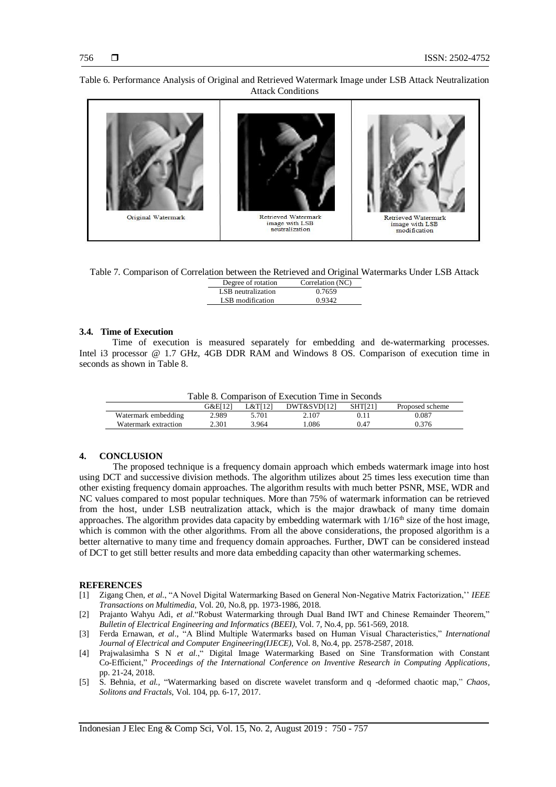# Original Watermark Retrieved Watermark Retrieved Watermark image with LSB image with LSB neutralization modification

Table 6. Performance Analysis of Original and Retrieved Watermark Image under LSB Attack Neutralization Attack Conditions

Table 7. Comparison of Correlation between the Retrieved and Original Watermarks Under LSB Attack

| Degree of rotation | Correlation (NC) |
|--------------------|------------------|
| LSB neutralization | 0.7659           |
| LSB modification   | 0.9342           |

### **3.4. Time of Execution**

Time of execution is measured separately for embedding and de-watermarking processes. Intel i3 processor @ 1.7 GHz, 4GB DDR RAM and Windows 8 OS. Comparison of execution time in seconds as shown in Table 8.

Table 8. Comparison of Execution Time in Seconds

|                      | G&E[12] | L&T[12] | DWT&SVD[12] | <b>SHT[21]</b> | Proposed scheme |
|----------------------|---------|---------|-------------|----------------|-----------------|
| Watermark embedding  | 2.989   | 5.701   | 2.107       |                | 0.087           |
| Watermark extraction | 2.301   | 3.964   | .086        | 0.47           | 0.376           |

# **4. CONCLUSION**

The proposed technique is a frequency domain approach which embeds watermark image into host using DCT and successive division methods. The algorithm utilizes about 25 times less execution time than other existing frequency domain approaches. The algorithm results with much better PSNR, MSE, WDR and NC values compared to most popular techniques. More than 75% of watermark information can be retrieved from the host, under LSB neutralization attack, which is the major drawback of many time domain approaches. The algorithm provides data capacity by embedding watermark with  $1/16<sup>th</sup>$  size of the host image, which is common with the other algorithms. From all the above considerations, the proposed algorithm is a better alternative to many time and frequency domain approaches. Further, DWT can be considered instead of DCT to get still better results and more data embedding capacity than other watermarking schemes.

#### **REFERENCES**

- [1] Zigang Chen, *et al*., "A Novel Digital Watermarking Based on General Non-Negative Matrix Factorization,'' *IEEE Transactions on Multimedia*, Vol. 20, No.8, pp. 1973-1986, 2018.
- [2] Prajanto Wahyu Adi, *et al*."Robust Watermarking through Dual Band IWT and Chinese Remainder Theorem," *Bulletin of Electrical Engineering and Informatics (BEEI)*, Vol. 7, No.4, pp. 561-569, 2018.
- [3] Ferda Ernawan, *et al*., "A Blind Multiple Watermarks based on Human Visual Characteristics," *International Journal of Electrical and Computer Engineering(IJECE)*, Vol. 8, No.4, pp. 2578-2587, 2018.
- [4] Prajwalasimha S N *et al*.," Digital Image Watermarking Based on Sine Transformation with Constant Co-Efficient," *Proceedings of the International Conference on Inventive Research in Computing Applications*, pp. 21-24, 2018.
- [5] S. Behnia, *et al.,* "Watermarking based on discrete wavelet transform and q -deformed chaotic map," *Chaos, Solitons and Fractals,* Vol. 104, pp. 6-17, 2017.